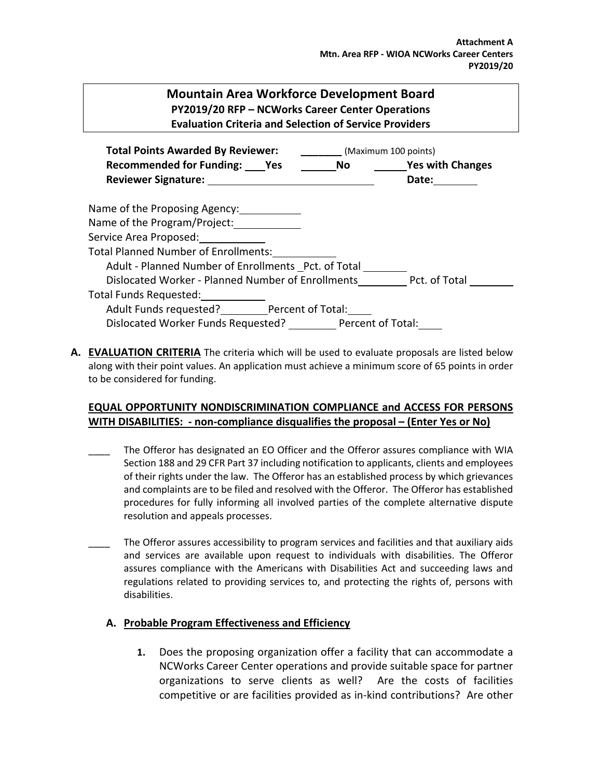## **Mountain Area Workforce Development Board PY2019/20 RFP – NCWorks Career Center Operations Evaluation Criteria and Selection of Service Providers**

| <b>Total Points Awarded By Reviewer:</b>                        |  | (Maximum 100 points) |  |
|-----------------------------------------------------------------|--|----------------------|--|
| Recommended for Funding: Yes No Yes with Changes                |  |                      |  |
| <b>Reviewer Signature:</b>                                      |  | Date:                |  |
|                                                                 |  |                      |  |
| Name of the Proposing Agency:                                   |  |                      |  |
| Name of the Program/Project:                                    |  |                      |  |
| Service Area Proposed: Service Area Proposed:                   |  |                      |  |
| <b>Total Planned Number of Enrollments:</b>                     |  |                      |  |
| Adult - Planned Number of Enrollments Pct. of Total             |  |                      |  |
| Dislocated Worker - Planned Number of Enrollments Pct. of Total |  |                      |  |
| Total Funds Requested:                                          |  |                      |  |
| Adult Funds requested? Percent of Total:                        |  |                      |  |
| Dislocated Worker Funds Requested? Percent of Total:            |  |                      |  |

**A. EVALUATION CRITERIA** The criteria which will be used to evaluate proposals are listed below along with their point values. An application must achieve a minimum score of 65 points in order to be considered for funding.

## **EQUAL OPPORTUNITY NONDISCRIMINATION COMPLIANCE and ACCESS FOR PERSONS WITH DISABILITIES: - non-compliance disqualifies the proposal – (Enter Yes or No)**

- The Offeror has designated an EO Officer and the Offeror assures compliance with WIA Section 188 and 29 CFR Part 37 including notification to applicants, clients and employees of their rights under the law. The Offeror has an established process by which grievances and complaints are to be filed and resolved with the Offeror. The Offeror has established procedures for fully informing all involved parties of the complete alternative dispute resolution and appeals processes.
- The Offeror assures accessibility to program services and facilities and that auxiliary aids and services are available upon request to individuals with disabilities. The Offeror assures compliance with the Americans with Disabilities Act and succeeding laws and regulations related to providing services to, and protecting the rights of, persons with disabilities.

## **A. Probable Program Effectiveness and Efficiency**

**1.** Does the proposing organization offer a facility that can accommodate a NCWorks Career Center operations and provide suitable space for partner organizations to serve clients as well? Are the costs of facilities competitive or are facilities provided as in-kind contributions? Are other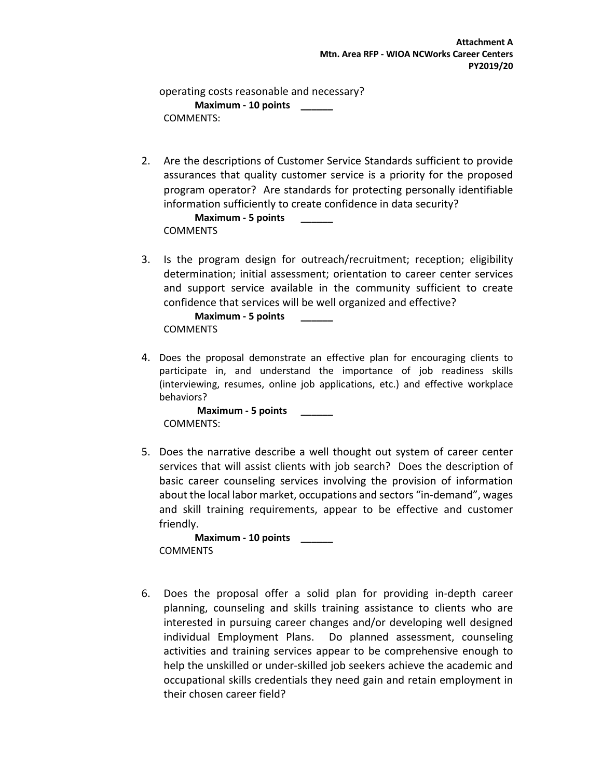operating costs reasonable and necessary? **Maximum - 10 points \_\_\_\_\_\_** COMMENTS:

2. Are the descriptions of Customer Service Standards sufficient to provide assurances that quality customer service is a priority for the proposed program operator? Are standards for protecting personally identifiable information sufficiently to create confidence in data security?

```
Maximum - 5 points ______
COMMENTS
```
3. Is the program design for outreach/recruitment; reception; eligibility determination; initial assessment; orientation to career center services and support service available in the community sufficient to create confidence that services will be well organized and effective?

```
Maximum - 5 points ______
COMMENTS
```
4. Does the proposal demonstrate an effective plan for encouraging clients to participate in, and understand the importance of job readiness skills (interviewing, resumes, online job applications, etc.) and effective workplace behaviors?

**Maximum - 5 points \_\_\_\_\_\_** COMMENTS:

5. Does the narrative describe a well thought out system of career center services that will assist clients with job search? Does the description of basic career counseling services involving the provision of information about the local labor market, occupations and sectors "in-demand", wages and skill training requirements, appear to be effective and customer friendly.

**Maximum - 10 points \_\_\_\_\_\_ COMMENTS** 

6. Does the proposal offer a solid plan for providing in-depth career planning, counseling and skills training assistance to clients who are interested in pursuing career changes and/or developing well designed individual Employment Plans. Do planned assessment, counseling activities and training services appear to be comprehensive enough to help the unskilled or under-skilled job seekers achieve the academic and occupational skills credentials they need gain and retain employment in their chosen career field?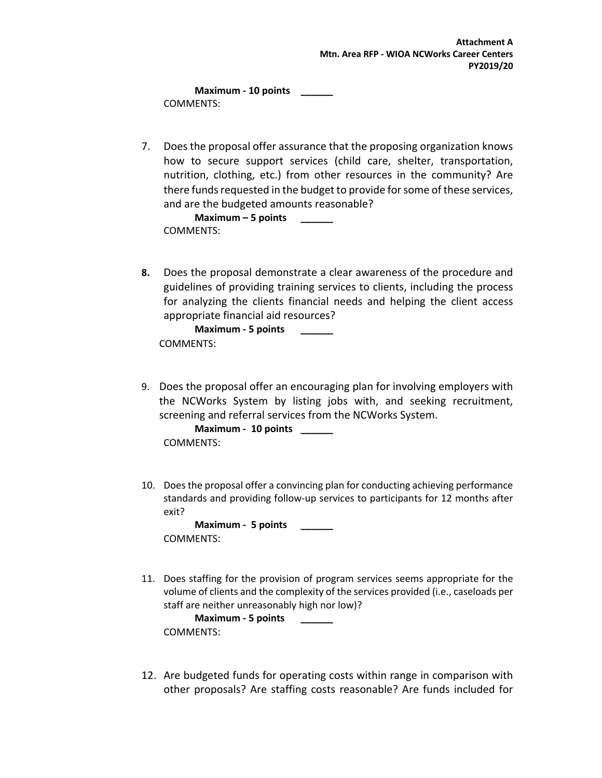**Maximum - 10 points \_\_\_\_\_\_** COMMENTS:

7. Does the proposal offer assurance that the proposing organization knows how to secure support services (child care, shelter, transportation, nutrition, clothing, etc.) from other resources in the community? Are there funds requested in the budget to provide for some of these services, and are the budgeted amounts reasonable?

**Maximum – 5 points \_\_\_\_\_\_** COMMENTS:

**8.** Does the proposal demonstrate a clear awareness of the procedure and guidelines of providing training services to clients, including the process for analyzing the clients financial needs and helping the client access appropriate financial aid resources?

**Maximum - 5 points \_\_\_\_\_\_** COMMENTS:

9. Does the proposal offer an encouraging plan for involving employers with the NCWorks System by listing jobs with, and seeking recruitment, screening and referral services from the NCWorks System.

**Maximum - 10 points \_\_\_\_\_\_** COMMENTS:

10. Does the proposal offer a convincing plan for conducting achieving performance standards and providing follow-up services to participants for 12 months after exit?

**Maximum - 5 points \_\_\_\_\_\_** COMMENTS:

11. Does staffing for the provision of program services seems appropriate for the volume of clients and the complexity of the services provided (i.e., caseloads per staff are neither unreasonably high nor low)?

**Maximum - 5 points \_\_\_\_\_\_** COMMENTS:

12. Are budgeted funds for operating costs within range in comparison with other proposals? Are staffing costs reasonable? Are funds included for